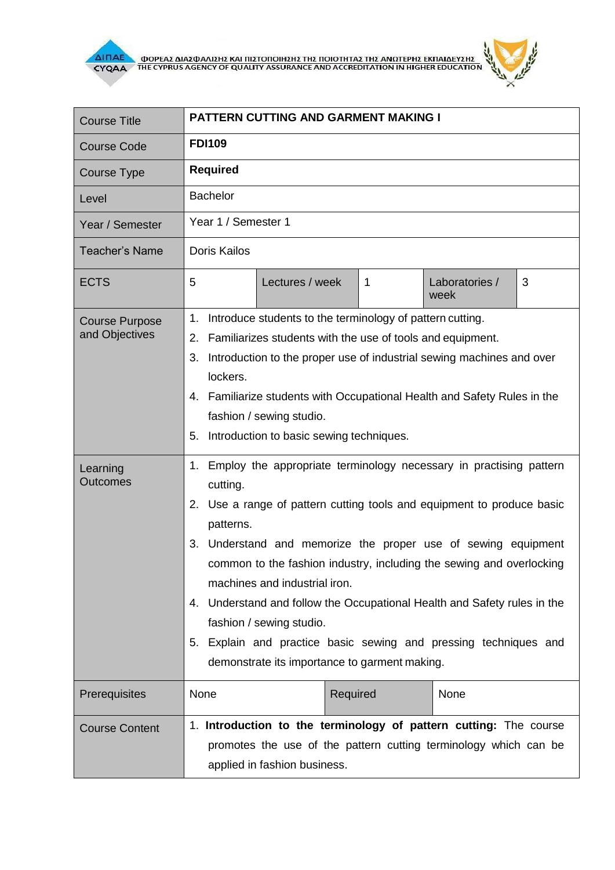



| <b>Course Title</b>                     | <b>PATTERN CUTTING AND GARMENT MAKING I</b>                                                                                                                                                                                                                                                                                                                                                                                                                                                                                                                                     |  |
|-----------------------------------------|---------------------------------------------------------------------------------------------------------------------------------------------------------------------------------------------------------------------------------------------------------------------------------------------------------------------------------------------------------------------------------------------------------------------------------------------------------------------------------------------------------------------------------------------------------------------------------|--|
| <b>Course Code</b>                      | <b>FDI109</b>                                                                                                                                                                                                                                                                                                                                                                                                                                                                                                                                                                   |  |
| Course Type                             | <b>Required</b>                                                                                                                                                                                                                                                                                                                                                                                                                                                                                                                                                                 |  |
| Level                                   | <b>Bachelor</b>                                                                                                                                                                                                                                                                                                                                                                                                                                                                                                                                                                 |  |
| Year / Semester                         | Year 1 / Semester 1                                                                                                                                                                                                                                                                                                                                                                                                                                                                                                                                                             |  |
| <b>Teacher's Name</b>                   | <b>Doris Kailos</b>                                                                                                                                                                                                                                                                                                                                                                                                                                                                                                                                                             |  |
| <b>ECTS</b>                             | 5<br>Lectures / week<br>$\mathbf{1}$<br>Laboratories /<br>3<br>week                                                                                                                                                                                                                                                                                                                                                                                                                                                                                                             |  |
| <b>Course Purpose</b><br>and Objectives | Introduce students to the terminology of pattern cutting.<br>1.<br>Familiarizes students with the use of tools and equipment.<br>2.<br>3.<br>Introduction to the proper use of industrial sewing machines and over<br>lockers.<br>4. Familiarize students with Occupational Health and Safety Rules in the<br>fashion / sewing studio.<br>Introduction to basic sewing techniques.<br>5.                                                                                                                                                                                        |  |
| Learning<br><b>Outcomes</b>             | 1. Employ the appropriate terminology necessary in practising pattern<br>cutting.<br>2. Use a range of pattern cutting tools and equipment to produce basic<br>patterns.<br>3. Understand and memorize the proper use of sewing equipment<br>common to the fashion industry, including the sewing and overlocking<br>machines and industrial iron.<br>4. Understand and follow the Occupational Health and Safety rules in the<br>fashion / sewing studio.<br>5. Explain and practice basic sewing and pressing techniques and<br>demonstrate its importance to garment making. |  |
| Prerequisites                           | None<br>Required<br>None                                                                                                                                                                                                                                                                                                                                                                                                                                                                                                                                                        |  |
| <b>Course Content</b>                   | 1. Introduction to the terminology of pattern cutting: The course<br>promotes the use of the pattern cutting terminology which can be<br>applied in fashion business.                                                                                                                                                                                                                                                                                                                                                                                                           |  |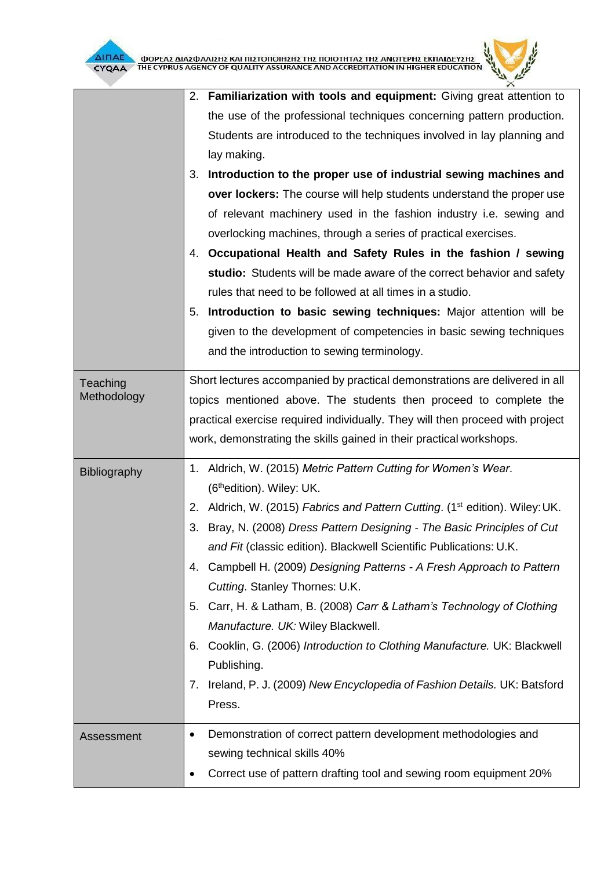

|                         | 2. Familiarization with tools and equipment: Giving great attention to<br>the use of the professional techniques concerning pattern production.<br>Students are introduced to the techniques involved in lay planning and<br>lay making.<br>Introduction to the proper use of industrial sewing machines and<br>3.<br>over lockers: The course will help students understand the proper use<br>of relevant machinery used in the fashion industry i.e. sewing and<br>overlocking machines, through a series of practical exercises.<br>4. Occupational Health and Safety Rules in the fashion / sewing<br>studio: Students will be made aware of the correct behavior and safety                                                                                                       |
|-------------------------|----------------------------------------------------------------------------------------------------------------------------------------------------------------------------------------------------------------------------------------------------------------------------------------------------------------------------------------------------------------------------------------------------------------------------------------------------------------------------------------------------------------------------------------------------------------------------------------------------------------------------------------------------------------------------------------------------------------------------------------------------------------------------------------|
|                         | rules that need to be followed at all times in a studio.<br>Introduction to basic sewing techniques: Major attention will be<br>5.<br>given to the development of competencies in basic sewing techniques<br>and the introduction to sewing terminology.                                                                                                                                                                                                                                                                                                                                                                                                                                                                                                                               |
| Teaching<br>Methodology | Short lectures accompanied by practical demonstrations are delivered in all<br>topics mentioned above. The students then proceed to complete the<br>practical exercise required individually. They will then proceed with project<br>work, demonstrating the skills gained in their practical workshops.                                                                                                                                                                                                                                                                                                                                                                                                                                                                               |
| Bibliography            | 1. Aldrich, W. (2015) Metric Pattern Cutting for Women's Wear.<br>(6 <sup>th</sup> edition). Wiley: UK.<br>Aldrich, W. (2015) Fabrics and Pattern Cutting. (1 <sup>st</sup> edition). Wiley: UK.<br>2.<br>Bray, N. (2008) Dress Pattern Designing - The Basic Principles of Cut<br>3.<br>and Fit (classic edition). Blackwell Scientific Publications: U.K.<br>Campbell H. (2009) Designing Patterns - A Fresh Approach to Pattern<br>4.<br>Cutting. Stanley Thornes: U.K.<br>Carr, H. & Latham, B. (2008) Carr & Latham's Technology of Clothing<br>5.<br>Manufacture. UK: Wiley Blackwell.<br>Cooklin, G. (2006) Introduction to Clothing Manufacture. UK: Blackwell<br>6.<br>Publishing.<br>Ireland, P. J. (2009) New Encyclopedia of Fashion Details. UK: Batsford<br>7.<br>Press. |
| Assessment              | Demonstration of correct pattern development methodologies and<br>٠<br>sewing technical skills 40%<br>Correct use of pattern drafting tool and sewing room equipment 20%                                                                                                                                                                                                                                                                                                                                                                                                                                                                                                                                                                                                               |